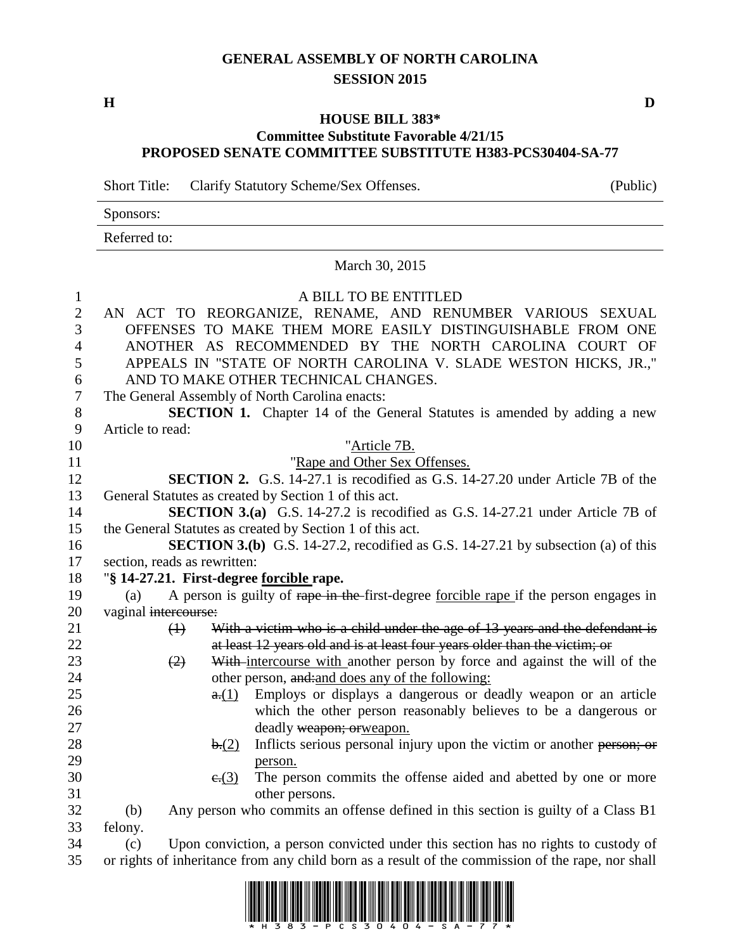## **GENERAL ASSEMBLY OF NORTH CAROLINA SESSION 2015**

**H D**

#### **HOUSE BILL 383\* Committee Substitute Favorable 4/21/15 PROPOSED SENATE COMMITTEE SUBSTITUTE H383-PCS30404-SA-77**

Short Title: Clarify Statutory Scheme/Sex Offenses. (Public)

| $M_{\rm M}$ is $M_{\rm M}$ . | Clarity Dialatory Deneme/Dex Offenses. | $(1 \text{ u}$ |
|------------------------------|----------------------------------------|----------------|
| Sponsors:                    |                                        |                |
|                              |                                        |                |

Referred to:

#### March 30, 2015

### 1 A BILL TO BE ENTITLED

| $\mathbf{2}$     | AN ACT TO REORGANIZE, RENAME, AND RENUMBER VARIOUS SEXUAL                                         |
|------------------|---------------------------------------------------------------------------------------------------|
| 3                | OFFENSES TO MAKE THEM MORE EASILY DISTINGUISHABLE FROM ONE                                        |
| $\overline{4}$   | ANOTHER AS RECOMMENDED BY THE NORTH CAROLINA COURT OF                                             |
| 5                | APPEALS IN "STATE OF NORTH CAROLINA V. SLADE WESTON HICKS, JR.,"                                  |
| 6                | AND TO MAKE OTHER TECHNICAL CHANGES.                                                              |
| $\boldsymbol{7}$ | The General Assembly of North Carolina enacts:                                                    |
| $8\,$            | <b>SECTION 1.</b> Chapter 14 of the General Statutes is amended by adding a new                   |
| 9                | Article to read:                                                                                  |
| 10               | "Article 7B.                                                                                      |
| 11               | "Rape and Other Sex Offenses.                                                                     |
| 12               | <b>SECTION 2.</b> G.S. 14-27.1 is recodified as G.S. 14-27.20 under Article 7B of the             |
| 13               | General Statutes as created by Section 1 of this act.                                             |
| 14               | <b>SECTION 3.(a)</b> G.S. 14-27.2 is recodified as G.S. 14-27.21 under Article 7B of              |
| 15               | the General Statutes as created by Section 1 of this act.                                         |
| 16               | <b>SECTION 3.(b)</b> G.S. 14-27.2, recodified as G.S. 14-27.21 by subsection (a) of this          |
| 17               | section, reads as rewritten:                                                                      |
| 18               | "§ 14-27.21. First-degree forcible rape.                                                          |
| 19               | A person is guilty of rape in the first-degree forcible rape if the person engages in<br>(a)      |
| 20               | vaginal intercourse:                                                                              |
| 21               | With a victim who is a child under the age of 13 years and the defendant is<br>$\bigoplus$        |
| 22               | at least 12 years old and is at least four years older than the victim; or                        |
| 23               | With-intercourse with another person by force and against the will of the<br>(2)                  |
| 24               | other person, and:and does any of the following:                                                  |
| 25               | Employs or displays a dangerous or deadly weapon or an article<br>$\frac{a(1)}{a(1)}$             |
| 26               | which the other person reasonably believes to be a dangerous or                                   |
| 27               | deadly weapon; orweapon.                                                                          |
| 28               | Inflicts serious personal injury upon the victim or another person; or<br>$\mathbf{b}$ .(2)       |
| 29               | person.                                                                                           |
| 30               | The person commits the offense aided and abetted by one or more<br>e(3)                           |
| 31               | other persons.                                                                                    |
| 32               | Any person who commits an offense defined in this section is guilty of a Class B1<br>(b)          |
| 33               | felony.                                                                                           |
| 34               | Upon conviction, a person convicted under this section has no rights to custody of<br>(c)         |
| 35               | or rights of inheritance from any child born as a result of the commission of the rape, nor shall |

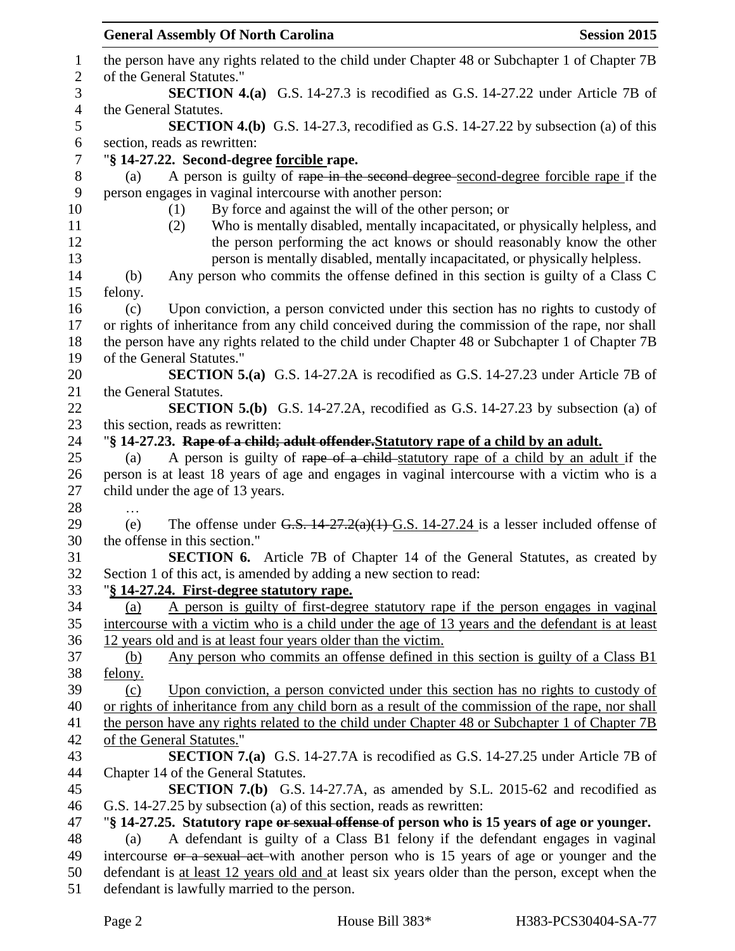|         | <b>General Assembly Of North Carolina</b>                                                         | <b>Session 2015</b> |
|---------|---------------------------------------------------------------------------------------------------|---------------------|
|         | the person have any rights related to the child under Chapter 48 or Subchapter 1 of Chapter 7B    |                     |
|         | of the General Statutes."                                                                         |                     |
|         | <b>SECTION 4.(a)</b> G.S. 14-27.3 is recodified as G.S. 14-27.22 under Article 7B of              |                     |
|         | the General Statutes.                                                                             |                     |
|         | <b>SECTION 4.(b)</b> G.S. 14-27.3, recodified as G.S. 14-27.22 by subsection (a) of this          |                     |
|         | section, reads as rewritten:                                                                      |                     |
|         | "§ 14-27.22. Second-degree forcible rape.                                                         |                     |
| (a)     | A person is guilty of rape in the second degree-second-degree forcible rape if the                |                     |
|         | person engages in vaginal intercourse with another person:                                        |                     |
|         | By force and against the will of the other person; or<br>(1)                                      |                     |
|         | Who is mentally disabled, mentally incapacitated, or physically helpless, and<br>(2)              |                     |
|         | the person performing the act knows or should reasonably know the other                           |                     |
|         | person is mentally disabled, mentally incapacitated, or physically helpless.                      |                     |
| (b)     | Any person who commits the offense defined in this section is guilty of a Class C                 |                     |
| felony. |                                                                                                   |                     |
| (c)     | Upon conviction, a person convicted under this section has no rights to custody of                |                     |
|         | or rights of inheritance from any child conceived during the commission of the rape, nor shall    |                     |
|         | the person have any rights related to the child under Chapter 48 or Subchapter 1 of Chapter 7B    |                     |
|         | of the General Statutes."                                                                         |                     |
|         | <b>SECTION 5.(a)</b> G.S. 14-27.2A is recodified as G.S. 14-27.23 under Article 7B of             |                     |
|         | the General Statutes.                                                                             |                     |
|         | <b>SECTION 5.(b)</b> G.S. 14-27.2A, recodified as G.S. 14-27.23 by subsection (a) of              |                     |
|         | this section, reads as rewritten:                                                                 |                     |
|         | "§ 14-27.23. Rape of a child; adult offender. Statutory rape of a child by an adult.              |                     |
| (a)     | A person is guilty of rape of a child-statutory rape of a child by an adult if the                |                     |
|         | person is at least 18 years of age and engages in vaginal intercourse with a victim who is a      |                     |
|         | child under the age of 13 years.                                                                  |                     |
|         |                                                                                                   |                     |
| (e)     | The offense under G.S. $14-27.2(a)(1)$ G.S. $14-27.24$ is a lesser included offense of            |                     |
|         | the offense in this section."                                                                     |                     |
|         | <b>SECTION 6.</b> Article 7B of Chapter 14 of the General Statutes, as created by                 |                     |
|         | Section 1 of this act, is amended by adding a new section to read:                                |                     |
|         | "§ 14-27.24. First-degree statutory rape.                                                         |                     |
| (a)     | A person is guilty of first-degree statutory rape if the person engages in vaginal                |                     |
|         | intercourse with a victim who is a child under the age of 13 years and the defendant is at least  |                     |
|         | 12 years old and is at least four years older than the victim.                                    |                     |
| (b)     | Any person who commits an offense defined in this section is guilty of a Class B1                 |                     |
| felony. |                                                                                                   |                     |
| (c)     | Upon conviction, a person convicted under this section has no rights to custody of                |                     |
|         | or rights of inheritance from any child born as a result of the commission of the rape, nor shall |                     |
|         | the person have any rights related to the child under Chapter 48 or Subchapter 1 of Chapter 7B    |                     |
|         | of the General Statutes."                                                                         |                     |
|         | <b>SECTION 7.(a)</b> G.S. 14-27.7A is recodified as G.S. 14-27.25 under Article 7B of             |                     |
|         | Chapter 14 of the General Statutes.                                                               |                     |
|         | <b>SECTION 7.(b)</b> G.S. 14-27.7A, as amended by S.L. 2015-62 and recodified as                  |                     |
|         | G.S. 14-27.25 by subsection (a) of this section, reads as rewritten:                              |                     |
|         | "§ 14-27.25. Statutory rape or sexual offense of person who is 15 years of age or younger.        |                     |
| (a)     | A defendant is guilty of a Class B1 felony if the defendant engages in vaginal                    |                     |
|         | intercourse or a sexual act-with another person who is 15 years of age or younger and the         |                     |
|         | defendant is at least 12 years old and at least six years older than the person, except when the  |                     |
|         | defendant is lawfully married to the person.                                                      |                     |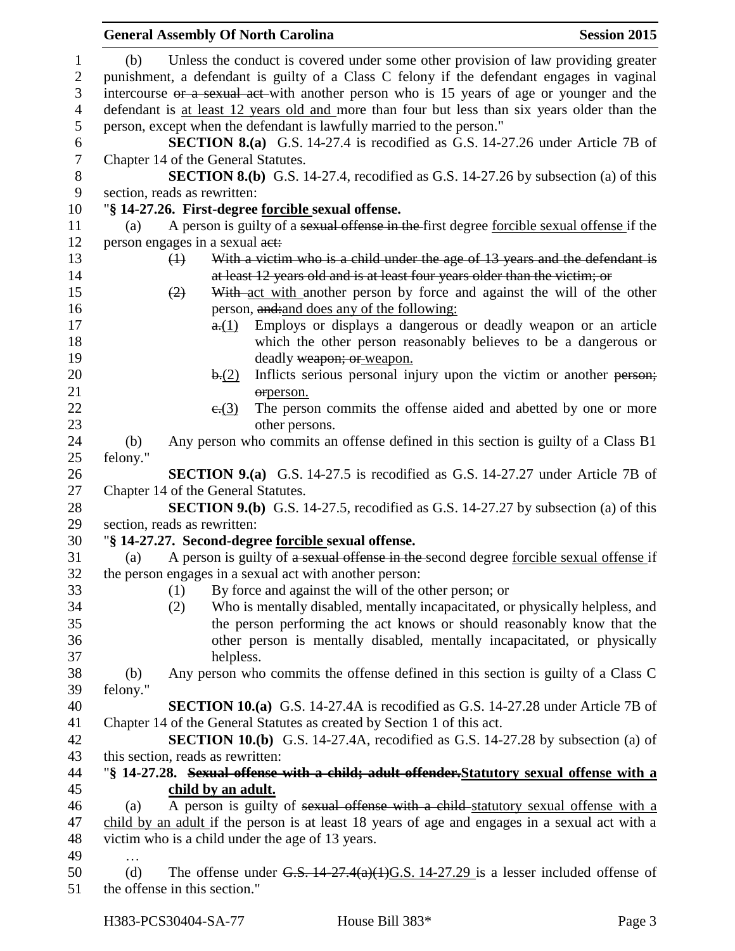|                                                                                           | <b>General Assembly Of North Carolina</b>                                                      | <b>Session 2015</b> |  |
|-------------------------------------------------------------------------------------------|------------------------------------------------------------------------------------------------|---------------------|--|
| (b)                                                                                       | Unless the conduct is covered under some other provision of law providing greater              |                     |  |
|                                                                                           | punishment, a defendant is guilty of a Class C felony if the defendant engages in vaginal      |                     |  |
| intercourse or a sexual act-with another person who is 15 years of age or younger and the |                                                                                                |                     |  |
|                                                                                           | defendant is at least 12 years old and more than four but less than six years older than the   |                     |  |
|                                                                                           | person, except when the defendant is lawfully married to the person."                          |                     |  |
|                                                                                           | <b>SECTION 8.(a)</b> G.S. 14-27.4 is recodified as G.S. 14-27.26 under Article 7B of           |                     |  |
|                                                                                           | Chapter 14 of the General Statutes.                                                            |                     |  |
|                                                                                           | <b>SECTION 8.(b)</b> G.S. 14-27.4, recodified as G.S. 14-27.26 by subsection (a) of this       |                     |  |
| section, reads as rewritten:                                                              |                                                                                                |                     |  |
|                                                                                           | "§ 14-27.26. First-degree forcible sexual offense.                                             |                     |  |
| (a)                                                                                       | A person is guilty of a sexual offense in the first degree forcible sexual offense if the      |                     |  |
|                                                                                           | person engages in a sexual act:                                                                |                     |  |
| $\leftrightarrow$                                                                         | With a victim who is a child under the age of 13 years and the defendant is                    |                     |  |
|                                                                                           | at least 12 years old and is at least four years older than the victim; or                     |                     |  |
| (2)                                                                                       | With act with another person by force and against the will of the other                        |                     |  |
|                                                                                           | person, and:and does any of the following:                                                     |                     |  |
|                                                                                           | Employs or displays a dangerous or deadly weapon or an article<br>a(1)                         |                     |  |
|                                                                                           | which the other person reasonably believes to be a dangerous or                                |                     |  |
|                                                                                           | deadly weapon; or weapon.                                                                      |                     |  |
|                                                                                           | Inflicts serious personal injury upon the victim or another person;<br>$\mathbf{b}$ .(2)       |                     |  |
|                                                                                           | orperson.                                                                                      |                     |  |
|                                                                                           | The person commits the offense aided and abetted by one or more<br>e(3)                        |                     |  |
|                                                                                           | other persons.                                                                                 |                     |  |
| (b)                                                                                       | Any person who commits an offense defined in this section is guilty of a Class B1              |                     |  |
| felony."                                                                                  |                                                                                                |                     |  |
|                                                                                           | <b>SECTION 9.(a)</b> G.S. 14-27.5 is recodified as G.S. 14-27.27 under Article 7B of           |                     |  |
|                                                                                           | Chapter 14 of the General Statutes.                                                            |                     |  |
|                                                                                           | <b>SECTION 9.(b)</b> G.S. 14-27.5, recodified as G.S. 14-27.27 by subsection (a) of this       |                     |  |
| section, reads as rewritten:                                                              |                                                                                                |                     |  |
|                                                                                           | "§ 14-27.27. Second-degree forcible sexual offense.                                            |                     |  |
| (a)                                                                                       | A person is guilty of a sexual offense in the second degree forcible sexual offense if         |                     |  |
|                                                                                           | the person engages in a sexual act with another person:                                        |                     |  |
| (1)                                                                                       | By force and against the will of the other person; or                                          |                     |  |
| (2)                                                                                       | Who is mentally disabled, mentally incapacitated, or physically helpless, and                  |                     |  |
|                                                                                           | the person performing the act knows or should reasonably know that the                         |                     |  |
|                                                                                           | other person is mentally disabled, mentally incapacitated, or physically                       |                     |  |
|                                                                                           | helpless.                                                                                      |                     |  |
| (b)                                                                                       | Any person who commits the offense defined in this section is guilty of a Class C              |                     |  |
| felony."                                                                                  |                                                                                                |                     |  |
|                                                                                           | <b>SECTION 10.(a)</b> G.S. 14-27.4A is recodified as G.S. 14-27.28 under Article 7B of         |                     |  |
|                                                                                           | Chapter 14 of the General Statutes as created by Section 1 of this act.                        |                     |  |
|                                                                                           | <b>SECTION 10.(b)</b> G.S. 14-27.4A, recodified as G.S. 14-27.28 by subsection (a) of          |                     |  |
|                                                                                           | this section, reads as rewritten:                                                              |                     |  |
|                                                                                           | "\\$ 14-27.28. Sexual offense with a child; adult offender. Statutory sexual offense with a    |                     |  |
|                                                                                           | child by an adult.                                                                             |                     |  |
| (a)                                                                                       | A person is guilty of sexual offense with a child-statutory sexual offense with a              |                     |  |
|                                                                                           | child by an adult if the person is at least 18 years of age and engages in a sexual act with a |                     |  |
|                                                                                           | victim who is a child under the age of 13 years.                                               |                     |  |
|                                                                                           |                                                                                                |                     |  |
| (d)                                                                                       | The offense under G.S. $14-27.4(a)(1)$ G.S. 14-27.29 is a lesser included offense of           |                     |  |
| the offense in this section."                                                             |                                                                                                |                     |  |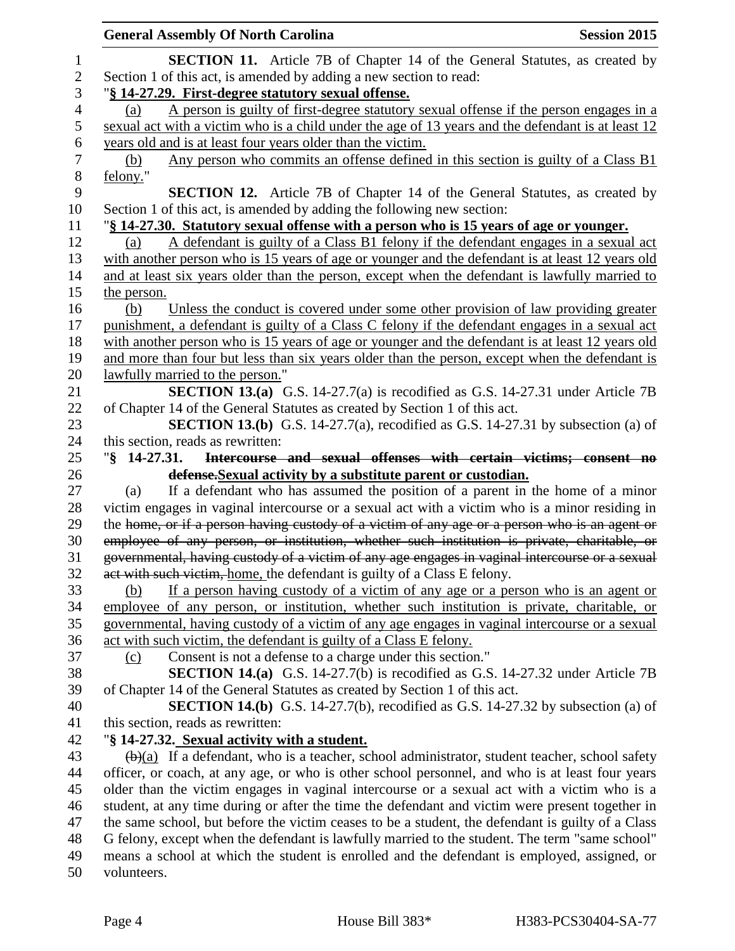|                | <b>General Assembly Of North Carolina</b><br><b>Session 2015</b>                                                                                                                               |
|----------------|------------------------------------------------------------------------------------------------------------------------------------------------------------------------------------------------|
| 1              | <b>SECTION 11.</b> Article 7B of Chapter 14 of the General Statutes, as created by                                                                                                             |
| $\overline{2}$ | Section 1 of this act, is amended by adding a new section to read:                                                                                                                             |
| 3              | "§ 14-27.29. First-degree statutory sexual offense.                                                                                                                                            |
| $\overline{4}$ | A person is guilty of first-degree statutory sexual offense if the person engages in a<br>(a)                                                                                                  |
| 5              | sexual act with a victim who is a child under the age of 13 years and the defendant is at least 12                                                                                             |
| 6              | years old and is at least four years older than the victim.                                                                                                                                    |
| $\tau$         | Any person who commits an offense defined in this section is guilty of a Class B1<br>(b)                                                                                                       |
| $8\,$          | felony."                                                                                                                                                                                       |
| 9              | <b>SECTION 12.</b> Article 7B of Chapter 14 of the General Statutes, as created by                                                                                                             |
| 10             | Section 1 of this act, is amended by adding the following new section:                                                                                                                         |
| 11             | "\\$ 14-27.30. Statutory sexual offense with a person who is 15 years of age or younger.                                                                                                       |
| 12             | A defendant is guilty of a Class B1 felony if the defendant engages in a sexual act<br>(a)                                                                                                     |
| 13             | with another person who is 15 years of age or younger and the defendant is at least 12 years old                                                                                               |
| 14             | and at least six years older than the person, except when the defendant is lawfully married to                                                                                                 |
| 15             | the person.                                                                                                                                                                                    |
| 16             | Unless the conduct is covered under some other provision of law providing greater<br>(b)                                                                                                       |
| 17             | punishment, a defendant is guilty of a Class C felony if the defendant engages in a sexual act                                                                                                 |
| 18             | with another person who is 15 years of age or younger and the defendant is at least 12 years old                                                                                               |
| 19             | and more than four but less than six years older than the person, except when the defendant is                                                                                                 |
| 20             | lawfully married to the person."                                                                                                                                                               |
| 21             | <b>SECTION 13.(a)</b> G.S. 14-27.7(a) is recodified as G.S. 14-27.31 under Article 7B                                                                                                          |
| 22             | of Chapter 14 of the General Statutes as created by Section 1 of this act.                                                                                                                     |
| 23             | <b>SECTION 13.(b)</b> G.S. 14-27.7(a), recodified as G.S. 14-27.31 by subsection (a) of                                                                                                        |
| 24             | this section, reads as rewritten:                                                                                                                                                              |
| 25             | Intercourse and sexual offenses with certain victims; consent no<br>$\sqrt{8}$ 14-27.31.                                                                                                       |
| 26             | defense. Sexual activity by a substitute parent or custodian.                                                                                                                                  |
| 27             | If a defendant who has assumed the position of a parent in the home of a minor<br>(a)                                                                                                          |
| 28             | victim engages in vaginal intercourse or a sexual act with a victim who is a minor residing in                                                                                                 |
| 29             | the home, or if a person having custody of a victim of any age or a person who is an agent or                                                                                                  |
| 30             | employee of any person, or institution, whether such institution is private, charitable, or                                                                                                    |
| 31             | governmental, having custody of a victim of any age engages in vaginal intercourse or a sexual                                                                                                 |
| 32             | act with such victim, home, the defendant is guilty of a Class E felony.                                                                                                                       |
| 33             | If a person having custody of a victim of any age or a person who is an agent or<br>(b)                                                                                                        |
| 34             | employee of any person, or institution, whether such institution is private, charitable, or                                                                                                    |
| 35             | governmental, having custody of a victim of any age engages in vaginal intercourse or a sexual                                                                                                 |
| 36             | act with such victim, the defendant is guilty of a Class E felony.                                                                                                                             |
| 37             | Consent is not a defense to a charge under this section."<br>(c)                                                                                                                               |
| 38             | <b>SECTION 14.(a)</b> G.S. 14-27.7(b) is recodified as G.S. 14-27.32 under Article 7B                                                                                                          |
| 39             | of Chapter 14 of the General Statutes as created by Section 1 of this act.                                                                                                                     |
| 40             | <b>SECTION 14.(b)</b> G.S. 14-27.7(b), recodified as G.S. 14-27.32 by subsection (a) of                                                                                                        |
| 41<br>42       | this section, reads as rewritten:                                                                                                                                                              |
| 43             | "§ 14-27.32. Sexual activity with a student.                                                                                                                                                   |
| 44             | $\frac{(\mathbf{b})(\mathbf{a})}{(\mathbf{b})(\mathbf{a})}$ If a defendant, who is a teacher, school administrator, student teacher, school safety                                             |
| 45             | officer, or coach, at any age, or who is other school personnel, and who is at least four years<br>older than the victim engages in vaginal intercourse or a sexual act with a victim who is a |
| 46             | student, at any time during or after the time the defendant and victim were present together in                                                                                                |
| 47             | the same school, but before the victim ceases to be a student, the defendant is guilty of a Class                                                                                              |
| 48             | G felony, except when the defendant is lawfully married to the student. The term "same school"                                                                                                 |
| 49             | means a school at which the student is enrolled and the defendant is employed, assigned, or                                                                                                    |
| 50             | volunteers.                                                                                                                                                                                    |
|                |                                                                                                                                                                                                |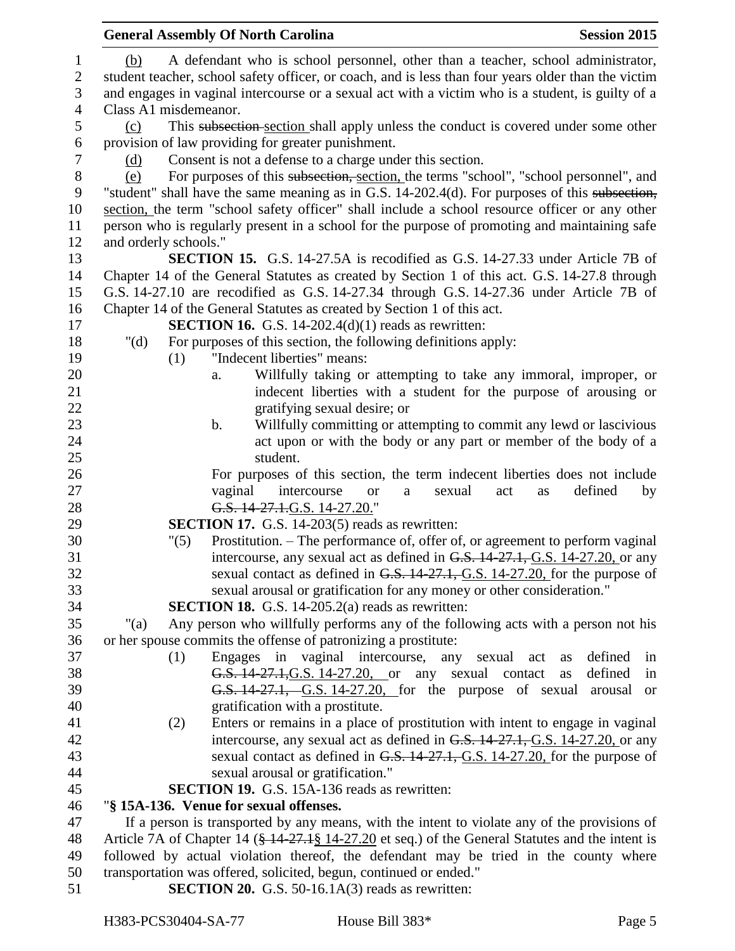|                | <b>General Assembly Of North Carolina</b>                                                                                                                                                | <b>Session 2015</b>        |  |  |
|----------------|------------------------------------------------------------------------------------------------------------------------------------------------------------------------------------------|----------------------------|--|--|
| $\mathbf{1}$   | A defendant who is school personnel, other than a teacher, school administrator,<br>(b)                                                                                                  |                            |  |  |
| $\mathbf{2}$   | student teacher, school safety officer, or coach, and is less than four years older than the victim                                                                                      |                            |  |  |
| 3              | and engages in vaginal intercourse or a sexual act with a victim who is a student, is guilty of a                                                                                        |                            |  |  |
| $\overline{4}$ | Class A1 misdemeanor.                                                                                                                                                                    |                            |  |  |
| 5              | This subsection-section shall apply unless the conduct is covered under some other<br>(c)                                                                                                |                            |  |  |
| 6              | provision of law providing for greater punishment.                                                                                                                                       |                            |  |  |
| $\tau$         | Consent is not a defense to a charge under this section.<br>(d)                                                                                                                          |                            |  |  |
| $8\,$          | For purposes of this subsection, section, the terms "school", "school personnel", and<br>(e)                                                                                             |                            |  |  |
| 9              | "student" shall have the same meaning as in G.S. 14-202.4(d). For purposes of this subsection,                                                                                           |                            |  |  |
| 10             | section, the term "school safety officer" shall include a school resource officer or any other                                                                                           |                            |  |  |
| 11             | person who is regularly present in a school for the purpose of promoting and maintaining safe                                                                                            |                            |  |  |
| 12             | and orderly schools."                                                                                                                                                                    |                            |  |  |
| 13             | <b>SECTION 15.</b> G.S. 14-27.5A is recodified as G.S. 14-27.33 under Article 7B of                                                                                                      |                            |  |  |
| 14             | Chapter 14 of the General Statutes as created by Section 1 of this act. G.S. 14-27.8 through                                                                                             |                            |  |  |
| 15             | G.S. 14-27.10 are recodified as G.S. 14-27.34 through G.S. 14-27.36 under Article 7B of                                                                                                  |                            |  |  |
| 16             | Chapter 14 of the General Statutes as created by Section 1 of this act.                                                                                                                  |                            |  |  |
| 17             | <b>SECTION 16.</b> G.S. 14-202.4(d)(1) reads as rewritten:                                                                                                                               |                            |  |  |
| 18             | " $(d)$<br>For purposes of this section, the following definitions apply:                                                                                                                |                            |  |  |
| 19             | "Indecent liberties" means:<br>(1)                                                                                                                                                       |                            |  |  |
| 20             | Willfully taking or attempting to take any immoral, improper, or<br>a.                                                                                                                   |                            |  |  |
| 21             | indecent liberties with a student for the purpose of arousing or                                                                                                                         |                            |  |  |
| 22             | gratifying sexual desire; or                                                                                                                                                             |                            |  |  |
| 23             | Willfully committing or attempting to commit any lewd or lascivious<br>b.                                                                                                                |                            |  |  |
| 24             | act upon or with the body or any part or member of the body of a                                                                                                                         |                            |  |  |
| 25             | student.                                                                                                                                                                                 |                            |  |  |
| 26             | For purposes of this section, the term indecent liberties does not include                                                                                                               |                            |  |  |
| 27             | vaginal<br>intercourse<br>sexual<br><b>or</b><br>$\mathbf{a}$                                                                                                                            | defined<br>act<br>as<br>by |  |  |
| 28             | G.S. 14-27.1.G.S. 14-27.20."                                                                                                                                                             |                            |  |  |
| 29             | <b>SECTION 17.</b> G.S. 14-203(5) reads as rewritten:                                                                                                                                    |                            |  |  |
| 30             | Prostitution. – The performance of, offer of, or agreement to perform vaginal<br>"(5)                                                                                                    |                            |  |  |
| 31             | intercourse, any sexual act as defined in G.S. 14-27.1, G.S. 14-27.20, or any                                                                                                            |                            |  |  |
| 32             | sexual contact as defined in G.S. 14-27.1, G.S. 14-27.20, for the purpose of                                                                                                             |                            |  |  |
| 33             | sexual arousal or gratification for any money or other consideration."                                                                                                                   |                            |  |  |
| 34             | <b>SECTION 18.</b> G.S. 14-205.2(a) reads as rewritten:                                                                                                                                  |                            |  |  |
| 35             | Any person who willfully performs any of the following acts with a person not his<br>" $(a)$                                                                                             |                            |  |  |
| 36             | or her spouse commits the offense of patronizing a prostitute:                                                                                                                           |                            |  |  |
| 37             | Engages in vaginal intercourse, any sexual<br>(1)                                                                                                                                        | defined<br>act<br>as<br>in |  |  |
| 38             | G.S. 14-27.1, G.S. 14-27.20, or any sexual contact                                                                                                                                       | defined<br>in<br>as        |  |  |
| 39             | G.S. 14-27.1, G.S. 14-27.20, for the purpose of sexual                                                                                                                                   | arousal<br><sub>or</sub>   |  |  |
| 40             | gratification with a prostitute.                                                                                                                                                         |                            |  |  |
| 41             | Enters or remains in a place of prostitution with intent to engage in vaginal<br>(2)                                                                                                     |                            |  |  |
| 42             | intercourse, any sexual act as defined in G.S. 14-27.1, G.S. 14-27.20, or any                                                                                                            |                            |  |  |
| 43             | sexual contact as defined in G.S. 14-27.1, G.S. 14-27.20, for the purpose of                                                                                                             |                            |  |  |
| 44             | sexual arousal or gratification."                                                                                                                                                        |                            |  |  |
| 45             | SECTION 19. G.S. 15A-136 reads as rewritten:                                                                                                                                             |                            |  |  |
| 46             | "§ 15A-136. Venue for sexual offenses.                                                                                                                                                   |                            |  |  |
| 47             | If a person is transported by any means, with the intent to violate any of the provisions of                                                                                             |                            |  |  |
|                |                                                                                                                                                                                          |                            |  |  |
| 48<br>49       | Article 7A of Chapter 14 (§ 14-27.1§ 14-27.20 et seq.) of the General Statutes and the intent is<br>followed by actual violation thereof, the defendant may be tried in the county where |                            |  |  |
| 50             | transportation was offered, solicited, begun, continued or ended."                                                                                                                       |                            |  |  |
| 51             | <b>SECTION 20.</b> G.S. 50-16.1A(3) reads as rewritten:                                                                                                                                  |                            |  |  |
|                |                                                                                                                                                                                          |                            |  |  |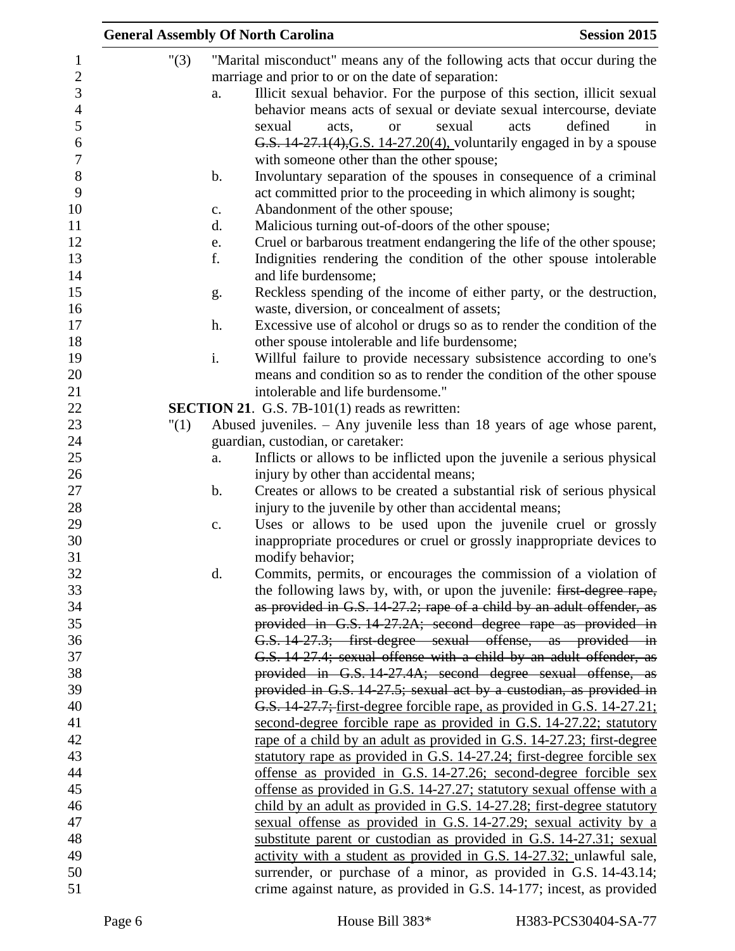|      |                | <b>General Assembly Of North Carolina</b>                                                                               | <b>Session 2015</b> |
|------|----------------|-------------------------------------------------------------------------------------------------------------------------|---------------------|
| "(3) |                | "Marital misconduct" means any of the following acts that occur during the                                              |                     |
|      |                | marriage and prior to or on the date of separation:                                                                     |                     |
|      | a.             | Illicit sexual behavior. For the purpose of this section, illicit sexual                                                |                     |
|      |                | behavior means acts of sexual or deviate sexual intercourse, deviate                                                    |                     |
|      |                | sexual<br>sexual<br>acts<br>acts,<br><b>or</b>                                                                          | defined<br>in       |
|      |                | G.S. 14-27.1(4), G.S. 14-27.20(4), voluntarily engaged in by a spouse                                                   |                     |
|      |                | with someone other than the other spouse;                                                                               |                     |
|      | $\mathbf b$ .  | Involuntary separation of the spouses in consequence of a criminal                                                      |                     |
|      |                | act committed prior to the proceeding in which alimony is sought;                                                       |                     |
|      | $\mathbf{c}$ . | Abandonment of the other spouse;                                                                                        |                     |
|      | d.             | Malicious turning out-of-doors of the other spouse;                                                                     |                     |
|      | e.             | Cruel or barbarous treatment endangering the life of the other spouse;                                                  |                     |
|      | f.             | Indignities rendering the condition of the other spouse intolerable<br>and life burdensome;                             |                     |
|      | g.             | Reckless spending of the income of either party, or the destruction,                                                    |                     |
|      |                | waste, diversion, or concealment of assets;                                                                             |                     |
|      | h.             | Excessive use of alcohol or drugs so as to render the condition of the<br>other spouse intolerable and life burdensome; |                     |
|      | i.             | Willful failure to provide necessary subsistence according to one's                                                     |                     |
|      |                | means and condition so as to render the condition of the other spouse                                                   |                     |
|      |                | intolerable and life burdensome."                                                                                       |                     |
|      |                | <b>SECTION 21.</b> G.S. 7B-101(1) reads as rewritten:                                                                   |                     |
| "(1) |                | Abused juveniles. $-$ Any juvenile less than 18 years of age whose parent,                                              |                     |
|      |                | guardian, custodian, or caretaker:                                                                                      |                     |
|      | a.             | Inflicts or allows to be inflicted upon the juvenile a serious physical                                                 |                     |
|      |                | injury by other than accidental means;                                                                                  |                     |
|      | $\mathbf b$ .  | Creates or allows to be created a substantial risk of serious physical                                                  |                     |
|      |                | injury to the juvenile by other than accidental means;                                                                  |                     |
|      | c.             | Uses or allows to be used upon the juvenile cruel or grossly                                                            |                     |
|      |                | inappropriate procedures or cruel or grossly inappropriate devices to                                                   |                     |
|      |                | modify behavior;                                                                                                        |                     |
|      | d.             | Commits, permits, or encourages the commission of a violation of                                                        |                     |
|      |                | the following laws by, with, or upon the juvenile: first-degree rape,                                                   |                     |
|      |                | as provided in G.S. 14-27.2; rape of a child by an adult offender, as                                                   |                     |
|      |                | provided in G.S. 14-27.2A; second degree rape as provided in                                                            |                     |
|      |                | G.S. 14-27.3; first degree sexual offense, as provided in                                                               |                     |
|      |                | G.S. 14-27.4; sexual offense with a child by an adult offender, as                                                      |                     |
|      |                | provided in G.S. 14-27.4A; second degree sexual offense, as                                                             |                     |
|      |                | provided in G.S. 14-27.5; sexual act by a custodian, as provided in                                                     |                     |
|      |                | G.S. 14-27.7; first-degree forcible rape, as provided in G.S. 14-27.21;                                                 |                     |
|      |                | second-degree forcible rape as provided in G.S. 14-27.22; statutory                                                     |                     |
|      |                | rape of a child by an adult as provided in G.S. 14-27.23; first-degree                                                  |                     |
|      |                | statutory rape as provided in G.S. 14-27.24; first-degree forcible sex                                                  |                     |
|      |                | offense as provided in G.S. 14-27.26; second-degree forcible sex                                                        |                     |
|      |                | offense as provided in G.S. 14-27.27; statutory sexual offense with a                                                   |                     |
|      |                | child by an adult as provided in G.S. 14-27.28; first-degree statutory                                                  |                     |
|      |                | sexual offense as provided in G.S. 14-27.29; sexual activity by a                                                       |                     |
|      |                | substitute parent or custodian as provided in G.S. 14-27.31; sexual                                                     |                     |
|      |                | activity with a student as provided in G.S. 14-27.32; unlawful sale,                                                    |                     |
|      |                | surrender, or purchase of a minor, as provided in G.S. 14-43.14;                                                        |                     |
|      |                | crime against nature, as provided in G.S. 14-177; incest, as provided                                                   |                     |
|      |                |                                                                                                                         |                     |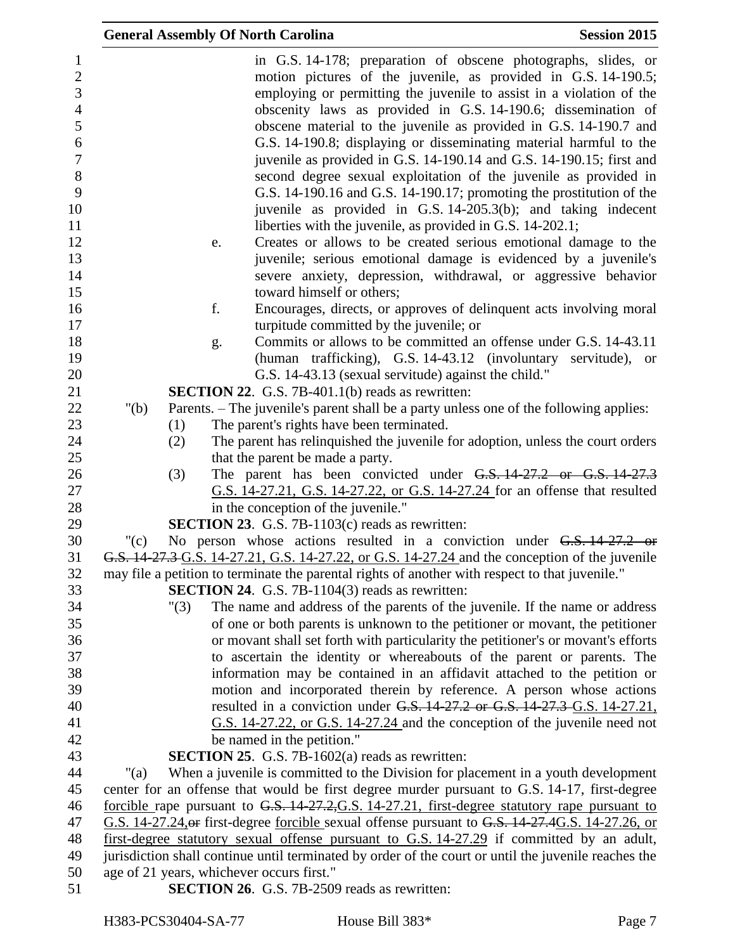|         | <b>General Assembly Of North Carolina</b>                                                       | <b>Session 2015</b>                                                                                                                                                                                                                                                                                                                                                                                                                                                                                                                                                                                                                                                                                                                                                     |
|---------|-------------------------------------------------------------------------------------------------|-------------------------------------------------------------------------------------------------------------------------------------------------------------------------------------------------------------------------------------------------------------------------------------------------------------------------------------------------------------------------------------------------------------------------------------------------------------------------------------------------------------------------------------------------------------------------------------------------------------------------------------------------------------------------------------------------------------------------------------------------------------------------|
|         |                                                                                                 | in G.S. 14-178; preparation of obscene photographs, slides, or<br>motion pictures of the juvenile, as provided in G.S. 14-190.5;<br>employing or permitting the juvenile to assist in a violation of the<br>obscenity laws as provided in G.S. 14-190.6; dissemination of<br>obscene material to the juvenile as provided in G.S. 14-190.7 and<br>G.S. 14-190.8; displaying or disseminating material harmful to the<br>juvenile as provided in G.S. 14-190.14 and G.S. 14-190.15; first and<br>second degree sexual exploitation of the juvenile as provided in<br>G.S. 14-190.16 and G.S. 14-190.17; promoting the prostitution of the<br>juvenile as provided in G.S. 14-205.3(b); and taking indecent<br>liberties with the juvenile, as provided in G.S. 14-202.1; |
|         | e.                                                                                              | Creates or allows to be created serious emotional damage to the<br>juvenile; serious emotional damage is evidenced by a juvenile's<br>severe anxiety, depression, withdrawal, or aggressive behavior                                                                                                                                                                                                                                                                                                                                                                                                                                                                                                                                                                    |
|         | toward himself or others;<br>f.                                                                 | Encourages, directs, or approves of delinquent acts involving moral                                                                                                                                                                                                                                                                                                                                                                                                                                                                                                                                                                                                                                                                                                     |
|         | turpitude committed by the juvenile; or                                                         |                                                                                                                                                                                                                                                                                                                                                                                                                                                                                                                                                                                                                                                                                                                                                                         |
|         | g.                                                                                              | Commits or allows to be committed an offense under G.S. 14-43.11<br>(human trafficking), G.S. 14-43.12 (involuntary servitude), or<br>G.S. 14-43.13 (sexual servitude) against the child."                                                                                                                                                                                                                                                                                                                                                                                                                                                                                                                                                                              |
|         | <b>SECTION 22.</b> G.S. 7B-401.1(b) reads as rewritten:                                         |                                                                                                                                                                                                                                                                                                                                                                                                                                                                                                                                                                                                                                                                                                                                                                         |
| " $(b)$ |                                                                                                 | Parents. - The juvenile's parent shall be a party unless one of the following applies:                                                                                                                                                                                                                                                                                                                                                                                                                                                                                                                                                                                                                                                                                  |
|         | The parent's rights have been terminated.<br>(1)                                                |                                                                                                                                                                                                                                                                                                                                                                                                                                                                                                                                                                                                                                                                                                                                                                         |
|         | (2)                                                                                             | The parent has relinquished the juvenile for adoption, unless the court orders                                                                                                                                                                                                                                                                                                                                                                                                                                                                                                                                                                                                                                                                                          |
|         | that the parent be made a party.                                                                |                                                                                                                                                                                                                                                                                                                                                                                                                                                                                                                                                                                                                                                                                                                                                                         |
|         | (3)                                                                                             | The parent has been convicted under G.S. 14-27.2 or G.S. 14-27.3                                                                                                                                                                                                                                                                                                                                                                                                                                                                                                                                                                                                                                                                                                        |
|         |                                                                                                 | G.S. 14-27.21, G.S. 14-27.22, or G.S. 14-27.24 for an offense that resulted                                                                                                                                                                                                                                                                                                                                                                                                                                                                                                                                                                                                                                                                                             |
|         | in the conception of the juvenile."<br>SECTION 23. G.S. 7B-1103(c) reads as rewritten:          |                                                                                                                                                                                                                                                                                                                                                                                                                                                                                                                                                                                                                                                                                                                                                                         |
| " $(c)$ |                                                                                                 | No person whose actions resulted in a conviction under G.S. 14-27.2 or                                                                                                                                                                                                                                                                                                                                                                                                                                                                                                                                                                                                                                                                                                  |
|         | may file a petition to terminate the parental rights of another with respect to that juvenile." | G.S. 14-27.3-G.S. 14-27.21, G.S. 14-27.22, or G.S. 14-27.24 and the conception of the juvenile                                                                                                                                                                                                                                                                                                                                                                                                                                                                                                                                                                                                                                                                          |
|         | <b>SECTION 24.</b> G.S. 7B-1104(3) reads as rewritten:                                          |                                                                                                                                                                                                                                                                                                                                                                                                                                                                                                                                                                                                                                                                                                                                                                         |
|         | "(3)                                                                                            | The name and address of the parents of the juvenile. If the name or address                                                                                                                                                                                                                                                                                                                                                                                                                                                                                                                                                                                                                                                                                             |
|         |                                                                                                 | of one or both parents is unknown to the petitioner or movant, the petitioner                                                                                                                                                                                                                                                                                                                                                                                                                                                                                                                                                                                                                                                                                           |
|         |                                                                                                 | or movant shall set forth with particularity the petitioner's or movant's efforts                                                                                                                                                                                                                                                                                                                                                                                                                                                                                                                                                                                                                                                                                       |
|         |                                                                                                 | to ascertain the identity or whereabouts of the parent or parents. The                                                                                                                                                                                                                                                                                                                                                                                                                                                                                                                                                                                                                                                                                                  |
|         |                                                                                                 | information may be contained in an affidavit attached to the petition or                                                                                                                                                                                                                                                                                                                                                                                                                                                                                                                                                                                                                                                                                                |
|         |                                                                                                 | motion and incorporated therein by reference. A person whose actions                                                                                                                                                                                                                                                                                                                                                                                                                                                                                                                                                                                                                                                                                                    |
|         |                                                                                                 | resulted in a conviction under G.S. 14-27.2 or G.S. 14-27.3 G.S. 14-27.21,                                                                                                                                                                                                                                                                                                                                                                                                                                                                                                                                                                                                                                                                                              |
|         |                                                                                                 | G.S. 14-27.22, or G.S. 14-27.24 and the conception of the juvenile need not                                                                                                                                                                                                                                                                                                                                                                                                                                                                                                                                                                                                                                                                                             |
|         | be named in the petition."                                                                      |                                                                                                                                                                                                                                                                                                                                                                                                                                                                                                                                                                                                                                                                                                                                                                         |
|         | <b>SECTION 25.</b> G.S. 7B-1602(a) reads as rewritten:                                          |                                                                                                                                                                                                                                                                                                                                                                                                                                                                                                                                                                                                                                                                                                                                                                         |
| "(a)    |                                                                                                 | When a juvenile is committed to the Division for placement in a youth development<br>center for an offense that would be first degree murder pursuant to G.S. 14-17, first-degree                                                                                                                                                                                                                                                                                                                                                                                                                                                                                                                                                                                       |
|         |                                                                                                 | forcible rape pursuant to G.S. $14-27.2$ , G.S. $14-27.21$ , first-degree statutory rape pursuant to                                                                                                                                                                                                                                                                                                                                                                                                                                                                                                                                                                                                                                                                    |
|         |                                                                                                 | G.S. 14-27.24, or first-degree forcible sexual offense pursuant to G.S. 14-27.4G.S. 14-27.26, or                                                                                                                                                                                                                                                                                                                                                                                                                                                                                                                                                                                                                                                                        |
|         |                                                                                                 | first-degree statutory sexual offense pursuant to G.S. 14-27.29 if committed by an adult,                                                                                                                                                                                                                                                                                                                                                                                                                                                                                                                                                                                                                                                                               |
|         |                                                                                                 | jurisdiction shall continue until terminated by order of the court or until the juvenile reaches the                                                                                                                                                                                                                                                                                                                                                                                                                                                                                                                                                                                                                                                                    |
|         | age of 21 years, whichever occurs first."                                                       |                                                                                                                                                                                                                                                                                                                                                                                                                                                                                                                                                                                                                                                                                                                                                                         |
|         | <b>SECTION 26.</b> G.S. 7B-2509 reads as rewritten:                                             |                                                                                                                                                                                                                                                                                                                                                                                                                                                                                                                                                                                                                                                                                                                                                                         |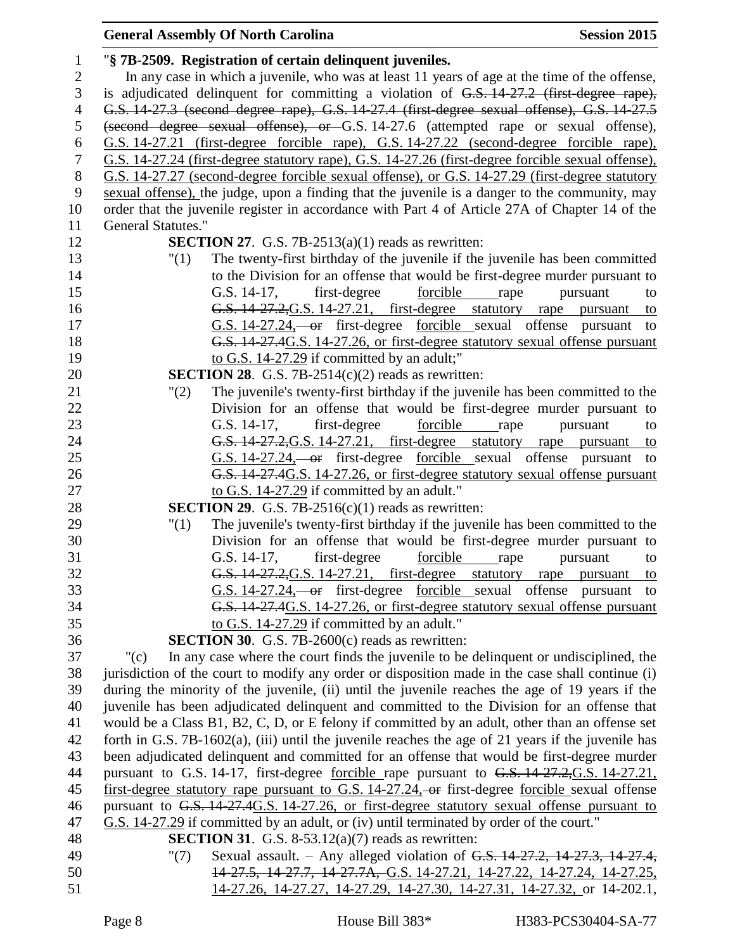| $\mathbf{1}$     | "§ 7B-2509. Registration of certain delinquent juveniles.                                                                   |
|------------------|-----------------------------------------------------------------------------------------------------------------------------|
| $\mathbf{2}$     | In any case in which a juvenile, who was at least 11 years of age at the time of the offense,                               |
| 3                | is adjudicated delinquent for committing a violation of G.S. 14-27.2 (first-degree rape),                                   |
| $\overline{4}$   | G.S. 14-27.3 (second degree rape), G.S. 14-27.4 (first degree sexual offense), G.S. 14-27.5                                 |
| 5                | (second degree sexual offense), or G.S. 14-27.6 (attempted rape or sexual offense),                                         |
| 6                | G.S. 14-27.21 (first-degree forcible rape), G.S. 14-27.22 (second-degree forcible rape),                                    |
| $\boldsymbol{7}$ | G.S. 14-27.24 (first-degree statutory rape), G.S. 14-27.26 (first-degree forcible sexual offense),                          |
| $8\,$            | G.S. 14-27.27 (second-degree forcible sexual offense), or G.S. 14-27.29 (first-degree statutory                             |
| 9                | sexual offense), the judge, upon a finding that the juvenile is a danger to the community, may                              |
| 10               | order that the juvenile register in accordance with Part 4 of Article 27A of Chapter 14 of the                              |
| 11               | <b>General Statutes."</b>                                                                                                   |
| 12               | <b>SECTION 27.</b> G.S. 7B-2513(a)(1) reads as rewritten:                                                                   |
| 13               | The twenty-first birthday of the juvenile if the juvenile has been committed<br>"(1)                                        |
| 14               | to the Division for an offense that would be first-degree murder pursuant to                                                |
| 15               | first-degree<br>G.S. $14-17$ ,<br>forcible rape<br>pursuant<br>to                                                           |
| 16               | G.S. 14-27.2, G.S. 14-27.21, first-degree statutory rape pursuant<br>to                                                     |
| 17               | G.S. 14-27.24, or first-degree <u>forcible</u> sexual offense pursuant to                                                   |
| 18               | G.S. 14-27.4G.S. 14-27.26, or first-degree statutory sexual offense pursuant                                                |
| 19               | to G.S. 14-27.29 if committed by an adult;"                                                                                 |
| 20               | <b>SECTION 28.</b> G.S. 7B-2514(c)(2) reads as rewritten:                                                                   |
| 21               | The juvenile's twenty-first birthday if the juvenile has been committed to the<br>"(2)                                      |
| 22               | Division for an offense that would be first-degree murder pursuant to                                                       |
| 23               | first-degree<br>forcible rape<br>G.S. 14-17,<br>pursuant<br>to                                                              |
| 24               | G.S. 14-27.2, G.S. 14-27.21, first-degree statutory rape<br>pursuant<br>to                                                  |
| 25               | G.S. 14-27.24, or first-degree <u>forcible</u> sexual offense pursuant to                                                   |
| 26               | G.S. 14-27.4G.S. 14-27.26, or first-degree statutory sexual offense pursuant                                                |
| 27               | to G.S. 14-27.29 if committed by an adult."                                                                                 |
| 28               | <b>SECTION 29.</b> G.S. 7B-2516(c)(1) reads as rewritten:                                                                   |
| 29               | The juvenile's twenty-first birthday if the juvenile has been committed to the<br>"(1)                                      |
| 30               | Division for an offense that would be first-degree murder pursuant to                                                       |
| 31               | G.S. 14-17,<br>first-degree<br>forcible<br>pursuant<br>rape<br>to                                                           |
| 32               | G.S. 14-27.2, G.S. 14-27.21, first-degree statutory rape pursuant<br><u>to</u>                                              |
| 33               | $G.S. 14-27.24$ , or first-degree <u>forcible</u> sexual offense pursuant to                                                |
| 34<br>35         | G.S. 14-27.4G.S. 14-27.26, or first-degree statutory sexual offense pursuant<br>to G.S. 14-27.29 if committed by an adult." |
| 36               | <b>SECTION 30.</b> G.S. 7B-2600 $(c)$ reads as rewritten:                                                                   |
| 37               | In any case where the court finds the juvenile to be delinquent or undisciplined, the<br>" $(c)$                            |
| 38               | jurisdiction of the court to modify any order or disposition made in the case shall continue (i)                            |
| 39               | during the minority of the juvenile, (ii) until the juvenile reaches the age of 19 years if the                             |
| 40               | juvenile has been adjudicated delinquent and committed to the Division for an offense that                                  |
| 41               | would be a Class B1, B2, C, D, or E felony if committed by an adult, other than an offense set                              |
| 42               | forth in G.S. $7B-1602(a)$ , (iii) until the juvenile reaches the age of 21 years if the juvenile has                       |
| 43               | been adjudicated delinquent and committed for an offense that would be first-degree murder                                  |
| 44               | pursuant to G.S. 14-17, first-degree <u>forcible rape</u> pursuant to G.S. 14-27.2, G.S. 14-27.21,                          |
| 45               | first-degree statutory rape pursuant to G.S. 14-27.24, or first-degree forcible sexual offense                              |
| 46               | pursuant to G.S. 14-27.4G.S. 14-27.26, or first-degree statutory sexual offense pursuant to                                 |
| 47               | G.S. 14-27.29 if committed by an adult, or (iv) until terminated by order of the court."                                    |
| 48               | <b>SECTION 31.</b> G.S. 8-53.12(a)(7) reads as rewritten:                                                                   |
| 49               | Sexual assault. - Any alleged violation of G.S. 14-27.2, 14-27.3, 14-27.4,<br>" $(7)$                                       |
| 50               | 14-27.5, 14-27.7, 14-27.7A, G.S. 14-27.21, 14-27.22, 14-27.24, 14-27.25,                                                    |
| 51               | 14-27.26, 14-27.27, 14-27.29, 14-27.30, 14-27.31, 14-27.32, or 14-202.1,                                                    |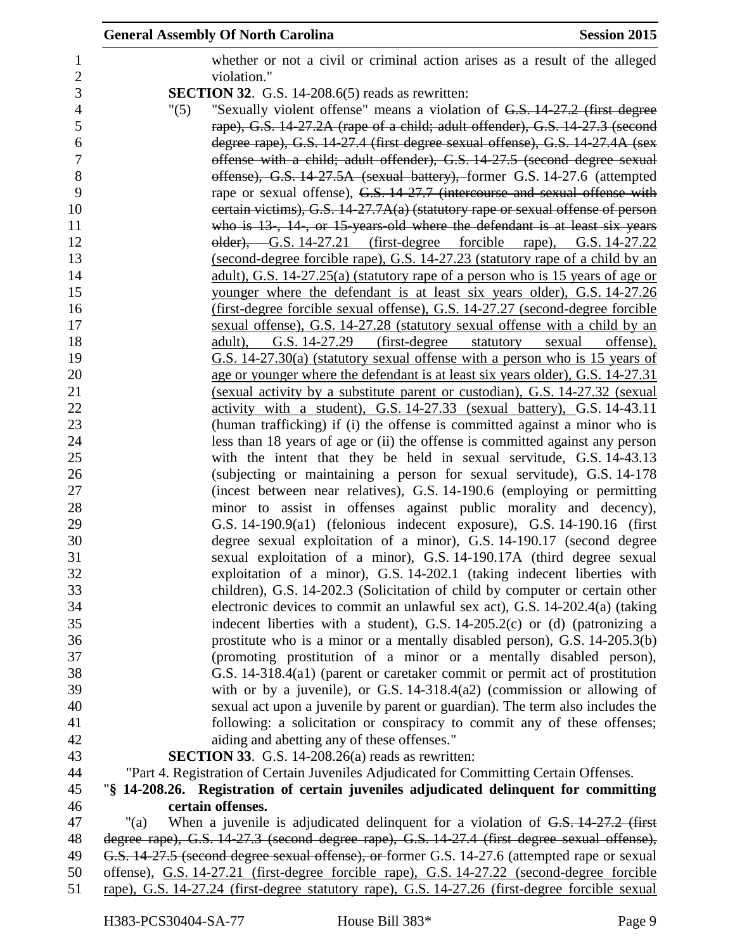|                | <b>General Assembly Of North Carolina</b><br><b>Session 2015</b>                                                                                    |
|----------------|-----------------------------------------------------------------------------------------------------------------------------------------------------|
| 1              | whether or not a civil or criminal action arises as a result of the alleged                                                                         |
| $\overline{c}$ | violation."                                                                                                                                         |
| 3              | <b>SECTION 32.</b> G.S. 14-208.6(5) reads as rewritten:                                                                                             |
| $\overline{4}$ | "Sexually violent offense" means a violation of G.S. 14-27.2 (first degree<br>"(5)                                                                  |
| 5              | rape), G.S. 14-27.2A (rape of a child; adult offender), G.S. 14-27.3 (second                                                                        |
| $\sqrt{6}$     | degree rape), G.S. 14-27.4 (first degree sexual offense), G.S. 14-27.4A (sex                                                                        |
| $\overline{7}$ | offense with a child; adult offender), G.S. 14-27.5 (second degree sexual                                                                           |
| 8              | offense), G.S. 14-27.5A (sexual battery), former G.S. 14-27.6 (attempted                                                                            |
| 9              | rape or sexual offense), G.S. 14-27.7 (intercourse and sexual offense with                                                                          |
| 10             | eertain victims), G.S. 14-27.7A(a) (statutory rape or sexual offense of person                                                                      |
| 11             | who is 13, 14, or 15-years old where the defendant is at least six years                                                                            |
| 12             | older), G.S. 14-27.21 (first-degree forcible rape), G.S. 14-27.22                                                                                   |
| 13             | (second-degree forcible rape), G.S. 14-27.23 (statutory rape of a child by an                                                                       |
| 14             | adult), G.S. 14-27.25(a) (statutory rape of a person who is 15 years of age or                                                                      |
| 15             | younger where the defendant is at least six years older), G.S. 14-27.26                                                                             |
| 16             | (first-degree forcible sexual offense), G.S. 14-27.27 (second-degree forcible                                                                       |
| 17             | sexual offense), G.S. 14-27.28 (statutory sexual offense with a child by an                                                                         |
| 18             | G.S. 14-27.29 (first-degree statutory sexual<br>offense),<br>adult),                                                                                |
| 19             | G.S. 14-27.30(a) (statutory sexual offense with a person who is 15 years of                                                                         |
| 20             | age or younger where the defendant is at least six years older), G.S. 14-27.31                                                                      |
| 21             | (sexual activity by a substitute parent or custodian), G.S. 14-27.32 (sexual                                                                        |
| 22             | activity with a student), G.S. 14-27.33 (sexual battery), G.S. 14-43.11                                                                             |
| 23             | (human trafficking) if (i) the offense is committed against a minor who is                                                                          |
| 24             | less than 18 years of age or (ii) the offense is committed against any person                                                                       |
| 25             | with the intent that they be held in sexual servitude, G.S. 14-43.13                                                                                |
| 26             | (subjecting or maintaining a person for sexual servitude), G.S. 14-178                                                                              |
| 27             | (incest between near relatives), G.S. 14-190.6 (employing or permitting                                                                             |
| 28             | minor to assist in offenses against public morality and decency),                                                                                   |
| 29             | G.S. 14-190.9(a1) (felonious indecent exposure), G.S. 14-190.16 (first                                                                              |
| 30             | degree sexual exploitation of a minor), G.S. 14-190.17 (second degree                                                                               |
| 31             | sexual exploitation of a minor), G.S. 14-190.17A (third degree sexual                                                                               |
| 32             | exploitation of a minor), G.S. 14-202.1 (taking indecent liberties with                                                                             |
| 33             | children), G.S. 14-202.3 (Solicitation of child by computer or certain other                                                                        |
| 34             | electronic devices to commit an unlawful sex act), G.S. 14-202.4(a) (taking                                                                         |
| 35             | indecent liberties with a student), G.S. $14-205.2(c)$ or (d) (patronizing a                                                                        |
| 36             | prostitute who is a minor or a mentally disabled person), G.S. 14-205.3(b)                                                                          |
| 37             | (promoting prostitution of a minor or a mentally disabled person),                                                                                  |
| 38             | G.S. 14-318.4(a1) (parent or caretaker commit or permit act of prostitution                                                                         |
| 39             | with or by a juvenile), or G.S. $14-318.4(a2)$ (commission or allowing of                                                                           |
| 40             | sexual act upon a juvenile by parent or guardian). The term also includes the                                                                       |
| 41             | following: a solicitation or conspiracy to commit any of these offenses;                                                                            |
| 42             |                                                                                                                                                     |
| 43             | aiding and abetting any of these offenses."                                                                                                         |
|                | <b>SECTION 33.</b> G.S. 14-208.26(a) reads as rewritten:<br>"Part 4. Registration of Certain Juveniles Adjudicated for Committing Certain Offenses. |
| 44<br>45       | "§ 14-208.26. Registration of certain juveniles adjudicated delinquent for committing                                                               |
|                |                                                                                                                                                     |
| 46<br>47       | certain offenses.<br>When a juvenile is adjudicated delinquent for a violation of G.S. 14-27.2 (first                                               |
| 48             | " $(a)$<br>degree rape), G.S. 14-27.3 (second degree rape), G.S. 14-27.4 (first degree sexual offense),                                             |
| 49             | G.S. 14-27.5 (second degree sexual offense), or former G.S. 14-27.6 (attempted rape or sexual                                                       |
| 50             | offense), G.S. 14-27.21 (first-degree forcible rape), G.S. 14-27.22 (second-degree forcible                                                         |
| 51             | rape), G.S. 14-27.24 (first-degree statutory rape), G.S. 14-27.26 (first-degree forcible sexual                                                     |
|                |                                                                                                                                                     |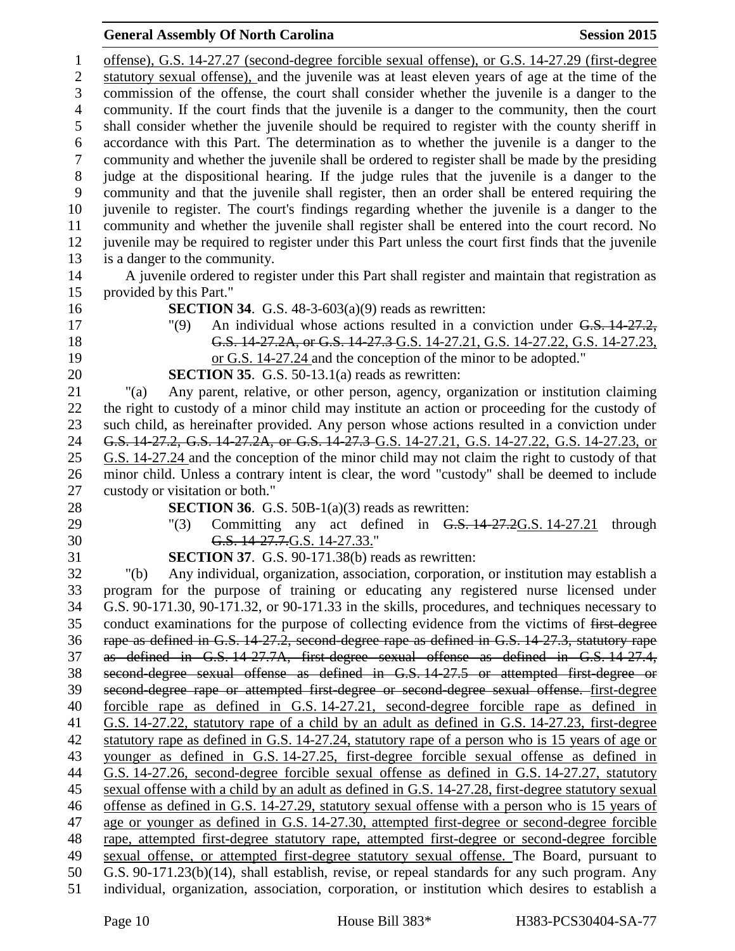| 1              | offense), G.S. 14-27.27 (second-degree forcible sexual offense), or G.S. 14-27.29 (first-degree     |
|----------------|-----------------------------------------------------------------------------------------------------|
| $\mathbf{2}$   | statutory sexual offense), and the juvenile was at least eleven years of age at the time of the     |
| 3              | commission of the offense, the court shall consider whether the juvenile is a danger to the         |
| $\overline{4}$ | community. If the court finds that the juvenile is a danger to the community, then the court        |
| 5              | shall consider whether the juvenile should be required to register with the county sheriff in       |
| 6              | accordance with this Part. The determination as to whether the juvenile is a danger to the          |
| $\tau$         | community and whether the juvenile shall be ordered to register shall be made by the presiding      |
| 8              | judge at the dispositional hearing. If the judge rules that the juvenile is a danger to the         |
| 9              | community and that the juvenile shall register, then an order shall be entered requiring the        |
| 10             | juvenile to register. The court's findings regarding whether the juvenile is a danger to the        |
| 11             | community and whether the juvenile shall register shall be entered into the court record. No        |
| 12             | juvenile may be required to register under this Part unless the court first finds that the juvenile |
| 13             | is a danger to the community.                                                                       |
| 14             | A juvenile ordered to register under this Part shall register and maintain that registration as     |
| 15             | provided by this Part."                                                                             |
| 16             | <b>SECTION 34.</b> G.S. 48-3-603(a)(9) reads as rewritten:                                          |
| 17             | An individual whose actions resulted in a conviction under G.S. 14-27.2,<br>"(9)                    |
| 18             | G.S. 14-27.2A, or G.S. 14-27.3 G.S. 14-27.21, G.S. 14-27.22, G.S. 14-27.23,                         |
| 19             | or G.S. 14-27.24 and the conception of the minor to be adopted."                                    |
| 20             | <b>SECTION 35.</b> G.S. 50-13.1(a) reads as rewritten:                                              |
| 21             | Any parent, relative, or other person, agency, organization or institution claiming<br>$"$ (a)      |
| 22             | the right to custody of a minor child may institute an action or proceeding for the custody of      |
| 23             | such child, as hereinafter provided. Any person whose actions resulted in a conviction under        |
| 24             | G.S. 14-27.2, G.S. 14-27.2A, or G.S. 14-27.3 G.S. 14-27.21, G.S. 14-27.22, G.S. 14-27.23, or        |
| 25             | G.S. 14-27.24 and the conception of the minor child may not claim the right to custody of that      |
| 26<br>27       | minor child. Unless a contrary intent is clear, the word "custody" shall be deemed to include       |
| 28             | custody or visitation or both."<br><b>SECTION 36.</b> G.S. 50B-1 $(a)(3)$ reads as rewritten:       |
| 29             | Committing any act defined in G.S. 14-27.2G.S. 14-27.21<br>"(3)<br>through                          |
| 30             | G.S. 14-27.7.G.S. 14-27.33."                                                                        |
| 31             | <b>SECTION 37.</b> G.S. 90-171.38(b) reads as rewritten:                                            |
| 32             | Any individual, organization, association, corporation, or institution may establish a<br>" $(b)$   |
| 33             | program for the purpose of training or educating any registered nurse licensed under                |
| 34             | G.S. 90-171.30, 90-171.32, or 90-171.33 in the skills, procedures, and techniques necessary to      |
| 35             | conduct examinations for the purpose of collecting evidence from the victims of first degree        |
| 36             | rape as defined in G.S. 14-27.2, second degree rape as defined in G.S. 14-27.3, statutory rape      |
| 37             | as defined in G.S. 14-27.7A, first-degree sexual offense as defined in G.S. 14-27.4,                |
| 38             | second-degree sexual offense as defined in G.S. 14-27.5 or attempted first-degree or                |
| 39             | second-degree rape or attempted first-degree or second-degree sexual offense. first-degree          |
| 40             | forcible rape as defined in G.S. 14-27.21, second-degree forcible rape as defined in                |
| 41             | G.S. 14-27.22, statutory rape of a child by an adult as defined in G.S. 14-27.23, first-degree      |
| 42             | statutory rape as defined in G.S. 14-27.24, statutory rape of a person who is 15 years of age or    |
| 43             | younger as defined in G.S. 14-27.25, first-degree forcible sexual offense as defined in             |
| 44             | G.S. 14-27.26, second-degree forcible sexual offense as defined in G.S. 14-27.27, statutory         |
| 45             | sexual offense with a child by an adult as defined in G.S. 14-27.28, first-degree statutory sexual  |
| 46             | offense as defined in G.S. 14-27.29, statutory sexual offense with a person who is 15 years of      |
| 47             | age or younger as defined in G.S. 14-27.30, attempted first-degree or second-degree forcible        |
| 48             | rape, attempted first-degree statutory rape, attempted first-degree or second-degree forcible       |
| 49             | sexual offense, or attempted first-degree statutory sexual offense. The Board, pursuant to          |
| 50             | G.S. 90-171.23(b)(14), shall establish, revise, or repeal standards for any such program. Any       |
| 51             | individual, organization, association, corporation, or institution which desires to establish a     |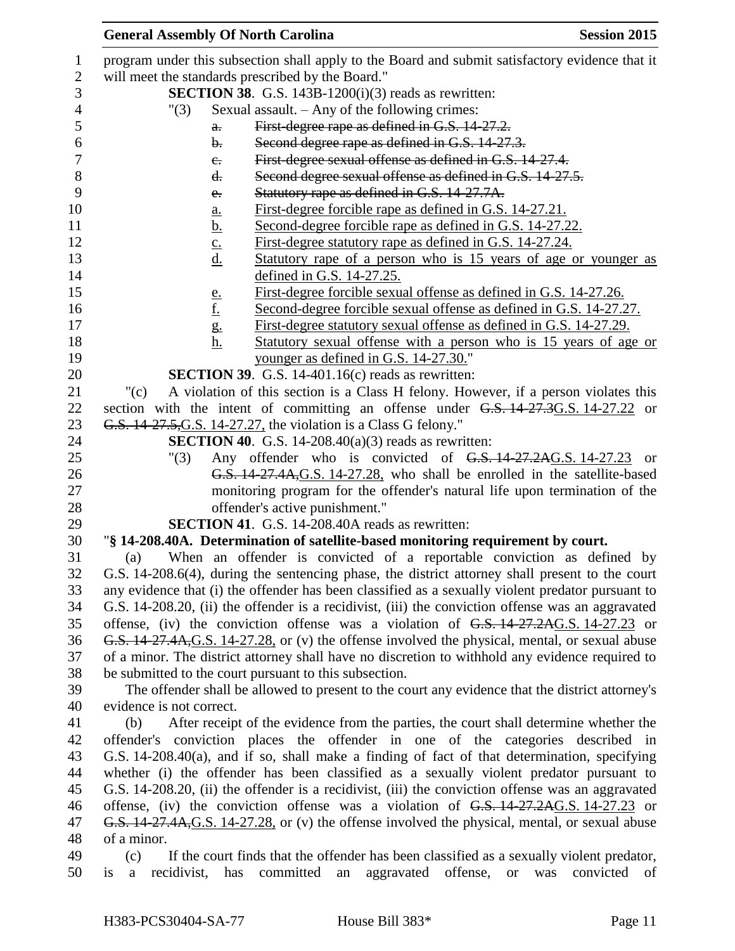| <b>General Assembly Of North Carolina</b>                                                                       | <b>Session 2015</b>                                                                                                                                 |
|-----------------------------------------------------------------------------------------------------------------|-----------------------------------------------------------------------------------------------------------------------------------------------------|
| program under this subsection shall apply to the Board and submit satisfactory evidence that it<br>$\mathbf{1}$ |                                                                                                                                                     |
| $\mathbf{2}$<br>will meet the standards prescribed by the Board."                                               |                                                                                                                                                     |
| 3<br><b>SECTION 38.</b> G.S. 143B-1200(i)(3) reads as rewritten:                                                |                                                                                                                                                     |
| $\overline{4}$<br>Sexual assault. - Any of the following crimes:<br>"(3)                                        |                                                                                                                                                     |
| First degree rape as defined in G.S. 14-27.2.<br>$a$ .                                                          |                                                                                                                                                     |
| Second degree rape as defined in G.S. 14-27.3.<br>$\mathbf{b}$ .                                                |                                                                                                                                                     |
| $e_{\cdot}$                                                                                                     | First-degree sexual offense as defined in G.S. 14-27.4.                                                                                             |
| d.                                                                                                              | Second degree sexual offense as defined in G.S. 14-27.5.                                                                                            |
| Statutory rape as defined in G.S. 14-27.7A.<br>e.                                                               |                                                                                                                                                     |
| $\underline{\mathbf{a}}$ .                                                                                      | First-degree forcible rape as defined in G.S. 14-27.21.                                                                                             |
| <u>b.</u>                                                                                                       | <u>Second-degree forcible rape as defined in G.S. 14-27.22.</u>                                                                                     |
| $\underline{c}$ .                                                                                               | First-degree statutory rape as defined in G.S. 14-27.24.                                                                                            |
| <u>d.</u>                                                                                                       | Statutory rape of a person who is 15 years of age or younger as                                                                                     |
| defined in G.S. 14-27.25.                                                                                       |                                                                                                                                                     |
|                                                                                                                 | First-degree forcible sexual offense as defined in G.S. 14-27.26.                                                                                   |
|                                                                                                                 | Second-degree forcible sexual offense as defined in G.S. 14-27.27.                                                                                  |
| $\frac{e}{f}$<br>$\frac{f}{g}$                                                                                  | First-degree statutory sexual offense as defined in G.S. 14-27.29.                                                                                  |
| h.                                                                                                              | Statutory sexual offense with a person who is 15 years of age or                                                                                    |
| younger as defined in G.S. 14-27.30."                                                                           |                                                                                                                                                     |
| SECTION 39. G.S. 14-401.16(c) reads as rewritten:                                                               |                                                                                                                                                     |
| " $(c)$                                                                                                         | A violation of this section is a Class H felony. However, if a person violates this                                                                 |
| section with the intent of committing an offense under $G.S. 14-27.3G.S. 14-27.22$ or                           |                                                                                                                                                     |
| G.S. 14-27.5, G.S. 14-27.27, the violation is a Class G felony."                                                |                                                                                                                                                     |
| <b>SECTION 40.</b> G.S. 14-208.40(a)(3) reads as rewritten:                                                     |                                                                                                                                                     |
| "(3)                                                                                                            | Any offender who is convicted of G.S. 14-27.2AG.S. 14-27.23 or                                                                                      |
|                                                                                                                 | G.S. 14-27.4A, G.S. 14-27.28, who shall be enrolled in the satellite-based                                                                          |
|                                                                                                                 | monitoring program for the offender's natural life upon termination of the                                                                          |
| offender's active punishment."                                                                                  |                                                                                                                                                     |
| <b>SECTION 41.</b> G.S. 14-208.40A reads as rewritten:                                                          |                                                                                                                                                     |
| "§ 14-208.40A. Determination of satellite-based monitoring requirement by court.                                |                                                                                                                                                     |
| (a)                                                                                                             | When an offender is convicted of a reportable conviction as defined by                                                                              |
| G.S. 14-208.6(4), during the sentencing phase, the district attorney shall present to the court                 |                                                                                                                                                     |
| any evidence that (i) the offender has been classified as a sexually violent predator pursuant to               |                                                                                                                                                     |
| G.S. 14-208.20, (ii) the offender is a recidivist, (iii) the conviction offense was an aggravated               |                                                                                                                                                     |
| offense, (iv) the conviction offense was a violation of G.S. 14-27.2AG.S. 14-27.23 or                           |                                                                                                                                                     |
| G.S. 14-27.4A, G.S. 14-27.28, or (v) the offense involved the physical, mental, or sexual abuse                 |                                                                                                                                                     |
| of a minor. The district attorney shall have no discretion to withhold any evidence required to                 |                                                                                                                                                     |
| be submitted to the court pursuant to this subsection.                                                          |                                                                                                                                                     |
| The offender shall be allowed to present to the court any evidence that the district attorney's                 |                                                                                                                                                     |
| evidence is not correct.                                                                                        |                                                                                                                                                     |
| (b)                                                                                                             | After receipt of the evidence from the parties, the court shall determine whether the                                                               |
| offender's conviction places the offender in one of the categories described in                                 |                                                                                                                                                     |
| G.S. 14-208.40(a), and if so, shall make a finding of fact of that determination, specifying                    |                                                                                                                                                     |
| whether (i) the offender has been classified as a sexually violent predator pursuant to                         |                                                                                                                                                     |
| G.S. 14-208.20, (ii) the offender is a recidivist, (iii) the conviction offense was an aggravated               |                                                                                                                                                     |
| offense, (iv) the conviction offense was a violation of $G.S. 14-27.2AG.S. 14-27.23$ or                         |                                                                                                                                                     |
| G.S. 14-27.4A, G.S. 14-27.28, or (v) the offense involved the physical, mental, or sexual abuse                 |                                                                                                                                                     |
| of a minor.                                                                                                     |                                                                                                                                                     |
| (c)<br>recidivist,<br>committed<br>has<br>an<br><i>is</i><br>$\mathbf{a}$                                       | If the court finds that the offender has been classified as a sexually violent predator,<br>aggravated offense,<br>convicted of<br>was<br><b>or</b> |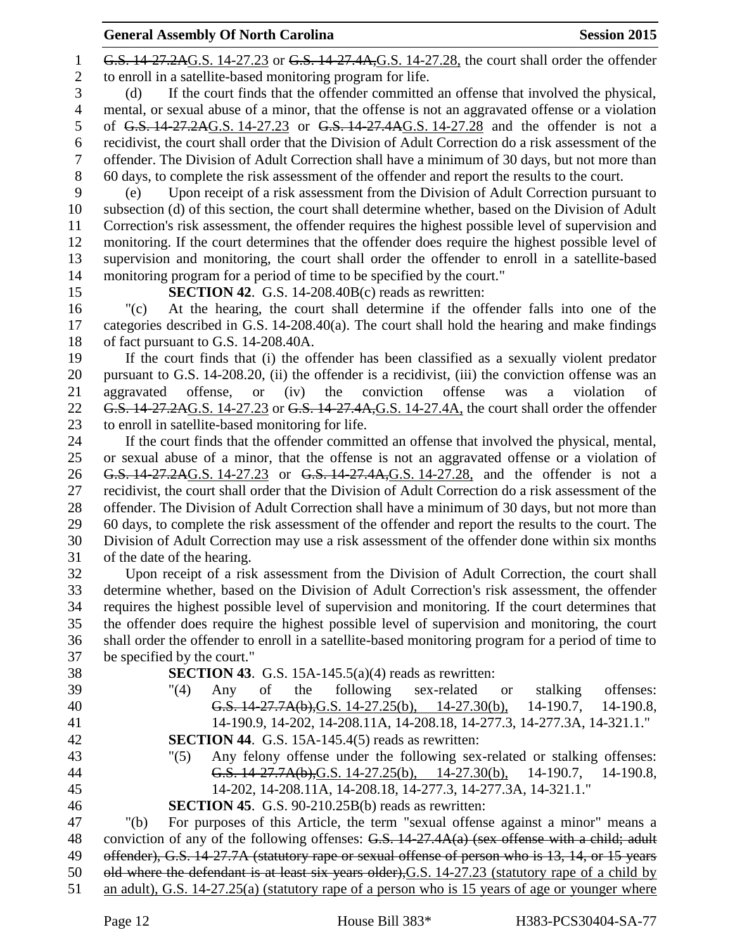| $\mathbf{1}$     | G.S. 14-27.2AG.S. 14-27.23 or G.S. 14-27.4A, G.S. 14-27.28, the court shall order the offender      |
|------------------|-----------------------------------------------------------------------------------------------------|
| $\boldsymbol{2}$ | to enroll in a satellite-based monitoring program for life.                                         |
| 3                | If the court finds that the offender committed an offense that involved the physical,<br>(d)        |
| $\overline{4}$   | mental, or sexual abuse of a minor, that the offense is not an aggravated offense or a violation    |
| 5                | of G.S. 14-27.2AG.S. 14-27.23 or G.S. 14-27.4AG.S. 14-27.28 and the offender is not a               |
| 6                | recidivist, the court shall order that the Division of Adult Correction do a risk assessment of the |
| 7                | offender. The Division of Adult Correction shall have a minimum of 30 days, but not more than       |
| $8\,$            | 60 days, to complete the risk assessment of the offender and report the results to the court.       |
| 9                | Upon receipt of a risk assessment from the Division of Adult Correction pursuant to<br>(e)          |
| 10               | subsection (d) of this section, the court shall determine whether, based on the Division of Adult   |
| 11               | Correction's risk assessment, the offender requires the highest possible level of supervision and   |
| 12               | monitoring. If the court determines that the offender does require the highest possible level of    |
| 13               | supervision and monitoring, the court shall order the offender to enroll in a satellite-based       |
| 14               | monitoring program for a period of time to be specified by the court."                              |
| 15               | <b>SECTION 42.</b> G.S. 14-208.40B(c) reads as rewritten:                                           |
| 16               | At the hearing, the court shall determine if the offender falls into one of the<br>" $(c)$          |
| 17               | categories described in G.S. 14-208.40(a). The court shall hold the hearing and make findings       |
| 18               | of fact pursuant to G.S. 14-208.40A.                                                                |
| 19               | If the court finds that (i) the offender has been classified as a sexually violent predator         |
| 20               | pursuant to G.S. 14-208.20, (ii) the offender is a recidivist, (iii) the conviction offense was an  |
| 21               | offense, or (iv)<br>the<br>conviction<br>offense<br>a<br>aggravated<br>was<br>violation<br>of       |
| 22               | G.S. 14-27.2AG.S. 14-27.23 or G.S. 14-27.4A, G.S. 14-27.4A, the court shall order the offender      |
| 23               | to enroll in satellite-based monitoring for life.                                                   |
| 24               | If the court finds that the offender committed an offense that involved the physical, mental,       |
| 25               | or sexual abuse of a minor, that the offense is not an aggravated offense or a violation of         |
| 26               | G.S. 14 27.2AG.S. 14-27.23 or G.S. 14 27.4A, G.S. 14-27.28, and the offender is not a               |
| 27               | recidivist, the court shall order that the Division of Adult Correction do a risk assessment of the |
| 28               | offender. The Division of Adult Correction shall have a minimum of 30 days, but not more than       |
| 29               | 60 days, to complete the risk assessment of the offender and report the results to the court. The   |
| 30               | Division of Adult Correction may use a risk assessment of the offender done within six months       |
| 31               | of the date of the hearing.                                                                         |
| 32               | Upon receipt of a risk assessment from the Division of Adult Correction, the court shall            |
| 33               | determine whether, based on the Division of Adult Correction's risk assessment, the offender        |
| 34               | requires the highest possible level of supervision and monitoring. If the court determines that     |
| 35               | the offender does require the highest possible level of supervision and monitoring, the court       |
| 36               | shall order the offender to enroll in a satellite-based monitoring program for a period of time to  |
| 37               | be specified by the court."                                                                         |
| 38               | <b>SECTION 43.</b> G.S. 15A-145.5(a)(4) reads as rewritten:                                         |
| 39               | following<br>sex-related<br>"(4)<br>Any of<br>the<br>offenses:<br>stalking<br><b>or</b>             |
| 40               | G.S. 14-27.7A(b), G.S. 14-27.25(b), 14-27.30(b),<br>$14-190.7$ ,<br>$14-190.8$ ,                    |
| 41               | 14-190.9, 14-202, 14-208.11A, 14-208.18, 14-277.3, 14-277.3A, 14-321.1."                            |
| 42               | <b>SECTION 44.</b> G.S. 15A-145.4(5) reads as rewritten:                                            |
| 43               | Any felony offense under the following sex-related or stalking offenses:<br>"(5)                    |
| 44               | G.S. $14-27.7A(b)$ , G.S. $14-27.25(b)$ , $14-27.30(b)$ ,<br>$14-190.7$ ,<br>14-190.8,              |
| 45               | 14-202, 14-208.11A, 14-208.18, 14-277.3, 14-277.3A, 14-321.1."                                      |
| 46               | <b>SECTION 45.</b> G.S. 90-210.25B(b) reads as rewritten:                                           |
| 47               | For purposes of this Article, the term "sexual offense against a minor" means a<br>" $(b)$          |
| 48               | conviction of any of the following offenses: $G.S. 14-27.4A(a)$ (sex offense with a child; adult    |
| 49               | offender), G.S. 14-27.7A (statutory rape or sexual offense of person who is 13, 14, or 15 years     |
| 50               | old where the defendant is at least six years older), G.S. 14-27.23 (statutory rape of a child by   |
| 51               | an adult), G.S. 14-27.25(a) (statutory rape of a person who is 15 years of age or younger where     |
|                  |                                                                                                     |